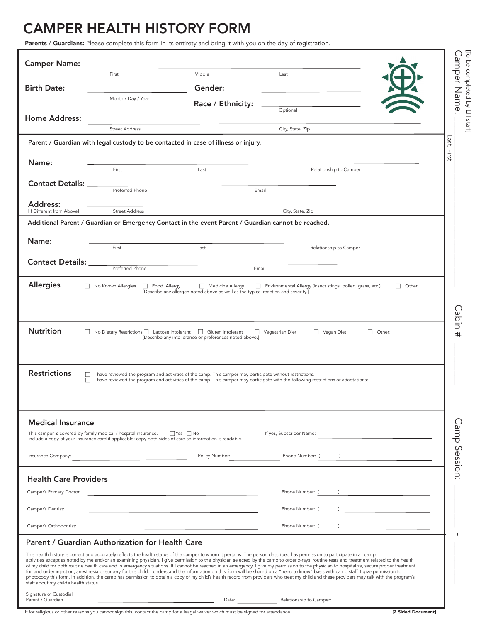## CAMPER HEALTH HISTORY FORM

l

Parents / Guardians: Please complete this form in its entirety and bring it with you on the day of registration.

| <b>Camper Name:</b>                             |                                                                                                                                                                            |                                                                                                           |                                                                                                                                                                                                                                                                                                                                                                                                                                                                                                                                                                                                                                                                                                                                                                                                                                                                                                                                                                 |               |
|-------------------------------------------------|----------------------------------------------------------------------------------------------------------------------------------------------------------------------------|-----------------------------------------------------------------------------------------------------------|-----------------------------------------------------------------------------------------------------------------------------------------------------------------------------------------------------------------------------------------------------------------------------------------------------------------------------------------------------------------------------------------------------------------------------------------------------------------------------------------------------------------------------------------------------------------------------------------------------------------------------------------------------------------------------------------------------------------------------------------------------------------------------------------------------------------------------------------------------------------------------------------------------------------------------------------------------------------|---------------|
| <b>Birth Date:</b>                              | First                                                                                                                                                                      | Middle<br>Gender:                                                                                         | Last                                                                                                                                                                                                                                                                                                                                                                                                                                                                                                                                                                                                                                                                                                                                                                                                                                                                                                                                                            |               |
|                                                 | Month / Day / Year                                                                                                                                                         | Race / Ethnicity:                                                                                         |                                                                                                                                                                                                                                                                                                                                                                                                                                                                                                                                                                                                                                                                                                                                                                                                                                                                                                                                                                 |               |
| <b>Home Address:</b>                            |                                                                                                                                                                            |                                                                                                           | Optional                                                                                                                                                                                                                                                                                                                                                                                                                                                                                                                                                                                                                                                                                                                                                                                                                                                                                                                                                        |               |
|                                                 | <b>Street Address</b>                                                                                                                                                      |                                                                                                           | City, State, Zip                                                                                                                                                                                                                                                                                                                                                                                                                                                                                                                                                                                                                                                                                                                                                                                                                                                                                                                                                |               |
|                                                 |                                                                                                                                                                            | Parent / Guardian with legal custody to be contacted in case of illness or injury.                        |                                                                                                                                                                                                                                                                                                                                                                                                                                                                                                                                                                                                                                                                                                                                                                                                                                                                                                                                                                 |               |
| Name:                                           | First                                                                                                                                                                      | Last                                                                                                      | Relationship to Camper                                                                                                                                                                                                                                                                                                                                                                                                                                                                                                                                                                                                                                                                                                                                                                                                                                                                                                                                          |               |
| <b>Contact Details:</b>                         | Preferred Phone                                                                                                                                                            |                                                                                                           | Email                                                                                                                                                                                                                                                                                                                                                                                                                                                                                                                                                                                                                                                                                                                                                                                                                                                                                                                                                           |               |
| Address:<br><b>IIf Different from Abovel</b>    | <b>Street Address</b>                                                                                                                                                      |                                                                                                           | City, State, Zip                                                                                                                                                                                                                                                                                                                                                                                                                                                                                                                                                                                                                                                                                                                                                                                                                                                                                                                                                |               |
|                                                 |                                                                                                                                                                            | Additional Parent / Guardian or Emergency Contact in the event Parent / Guardian cannot be reached.       |                                                                                                                                                                                                                                                                                                                                                                                                                                                                                                                                                                                                                                                                                                                                                                                                                                                                                                                                                                 |               |
| Name:                                           |                                                                                                                                                                            |                                                                                                           |                                                                                                                                                                                                                                                                                                                                                                                                                                                                                                                                                                                                                                                                                                                                                                                                                                                                                                                                                                 |               |
|                                                 | First                                                                                                                                                                      | Last                                                                                                      | Relationship to Camper                                                                                                                                                                                                                                                                                                                                                                                                                                                                                                                                                                                                                                                                                                                                                                                                                                                                                                                                          |               |
| <b>Contact Details:</b>                         | Preferred Phone                                                                                                                                                            | Email                                                                                                     |                                                                                                                                                                                                                                                                                                                                                                                                                                                                                                                                                                                                                                                                                                                                                                                                                                                                                                                                                                 |               |
| <b>Nutrition</b>                                | □ No Dietary Restrictions □ Lactose Intolerant □ Gluten Intolerant                                                                                                         | [Describe any intollerance or preferences noted above.]                                                   | Vegetarian Diet<br>$\Box$ Vegan Diet                                                                                                                                                                                                                                                                                                                                                                                                                                                                                                                                                                                                                                                                                                                                                                                                                                                                                                                            | $\Box$ Other: |
| <b>Restrictions</b><br><b>Medical Insurance</b> | $\Box$<br>П                                                                                                                                                                | I have reviewed the program and activities of the camp. This camper may participate without restrictions. | I have reviewed the program and activities of the camp. This camper may participate with the following restrictions or adaptations:                                                                                                                                                                                                                                                                                                                                                                                                                                                                                                                                                                                                                                                                                                                                                                                                                             |               |
|                                                 | This camper is covered by family medical / hospital insurance.<br>Include a copy of your insurance card if applicable; copy both sides of card so information is readable. | $\Box$ Yes $\Box$ No                                                                                      | If yes, Subscriber Name:                                                                                                                                                                                                                                                                                                                                                                                                                                                                                                                                                                                                                                                                                                                                                                                                                                                                                                                                        |               |
| Insurance Company:                              | <u> 1980 - Johann Barbara, martxa alemaniar a</u>                                                                                                                          | Policy Number:                                                                                            | Phone Number: (<br>$\lambda$                                                                                                                                                                                                                                                                                                                                                                                                                                                                                                                                                                                                                                                                                                                                                                                                                                                                                                                                    |               |
| <b>Health Care Providers</b>                    |                                                                                                                                                                            |                                                                                                           |                                                                                                                                                                                                                                                                                                                                                                                                                                                                                                                                                                                                                                                                                                                                                                                                                                                                                                                                                                 |               |
| Camper's Primary Doctor:                        |                                                                                                                                                                            | the contract of the contract of the contract of the contract of the contract of                           | Phone Number: (                                                                                                                                                                                                                                                                                                                                                                                                                                                                                                                                                                                                                                                                                                                                                                                                                                                                                                                                                 |               |
| Camper's Dentist:                               |                                                                                                                                                                            |                                                                                                           | Phone Number: (                                                                                                                                                                                                                                                                                                                                                                                                                                                                                                                                                                                                                                                                                                                                                                                                                                                                                                                                                 |               |
| Camper's Orthodontist:                          |                                                                                                                                                                            |                                                                                                           | Phone Number: (                                                                                                                                                                                                                                                                                                                                                                                                                                                                                                                                                                                                                                                                                                                                                                                                                                                                                                                                                 |               |
|                                                 | Parent / Guardian Authorization for Health Care                                                                                                                            |                                                                                                           |                                                                                                                                                                                                                                                                                                                                                                                                                                                                                                                                                                                                                                                                                                                                                                                                                                                                                                                                                                 |               |
| staff about my child's health status.           |                                                                                                                                                                            |                                                                                                           | This health history is correct and accurately reflects the health status of the camper to whom it pertains. The person described has permission to participate in all camp<br>activities except as noted by me and/or an examining physician. I give permission to the physician selected by the camp to order x-rays, routine tests and treatment related to the health<br>of my child for both routine health care and in emergency situations. If I cannot be reached in an emergency, I give my permission to the physician to hospitalize, secure proper treatment<br>for, and order injection, anesthesia or surgery for this child. I understand the information on this form will be shared on a "need to know" basis with camp staff. I give permission to<br>photocopy this form. In addition, the camp has permission to obtain a copy of my child's health record from providers who treat my child and these providers may talk with the program's |               |
| Signature of Custodial<br>Parent / Guardian     |                                                                                                                                                                            | Date:                                                                                                     | Relationship to Camper:                                                                                                                                                                                                                                                                                                                                                                                                                                                                                                                                                                                                                                                                                                                                                                                                                                                                                                                                         |               |

If for religious or other reasons you cannot sign this, contact the camp for a leagal waiver which must be signed for attendance. [2 Sided Document]